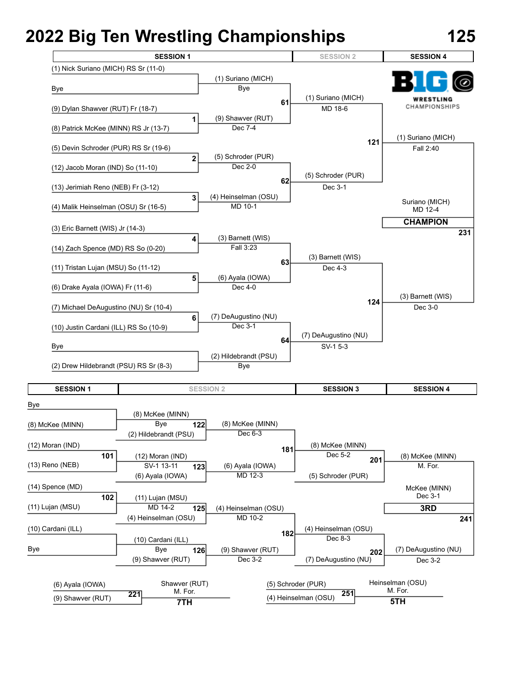

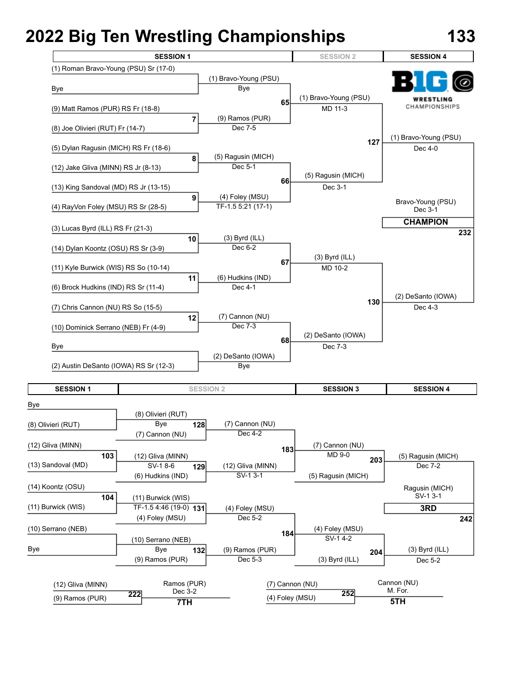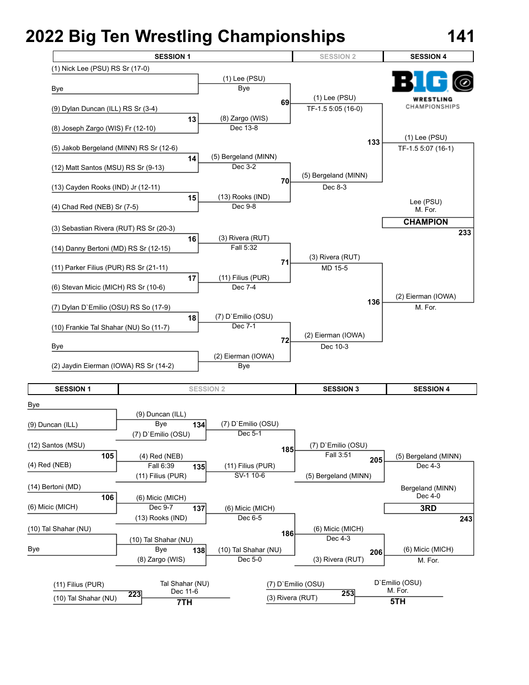

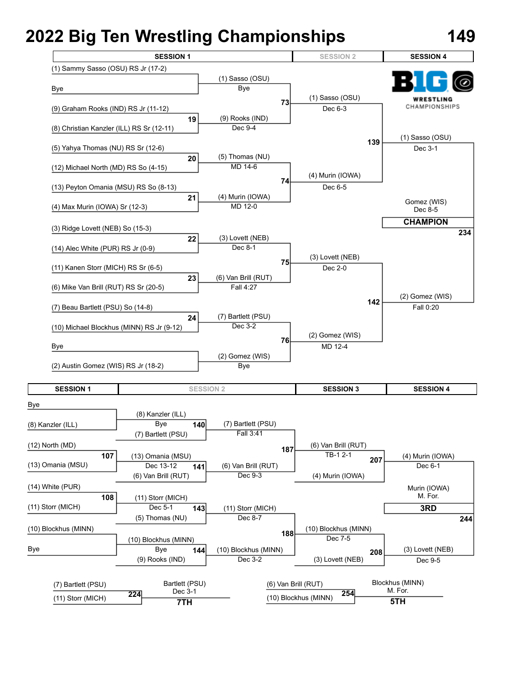**7TH**



**5TH**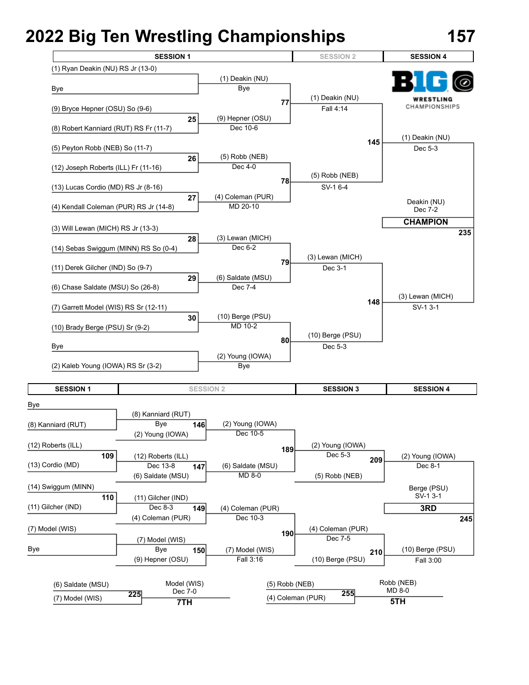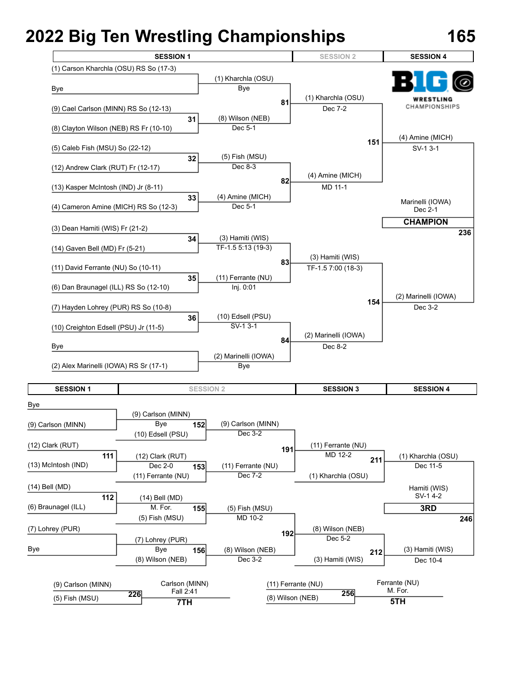

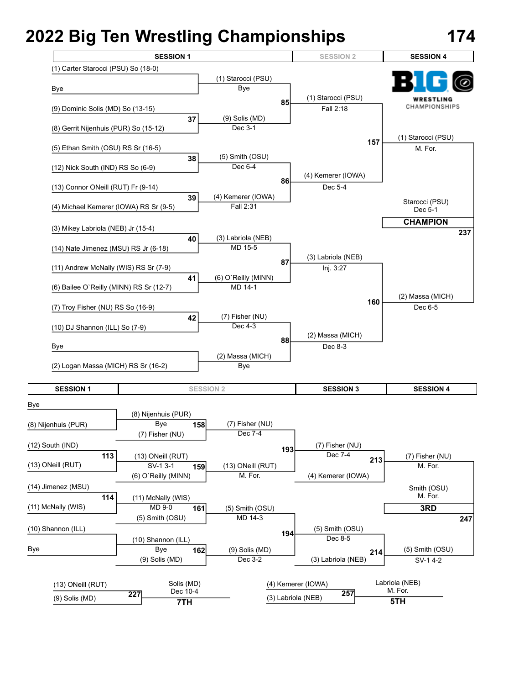**7TH**



**5TH**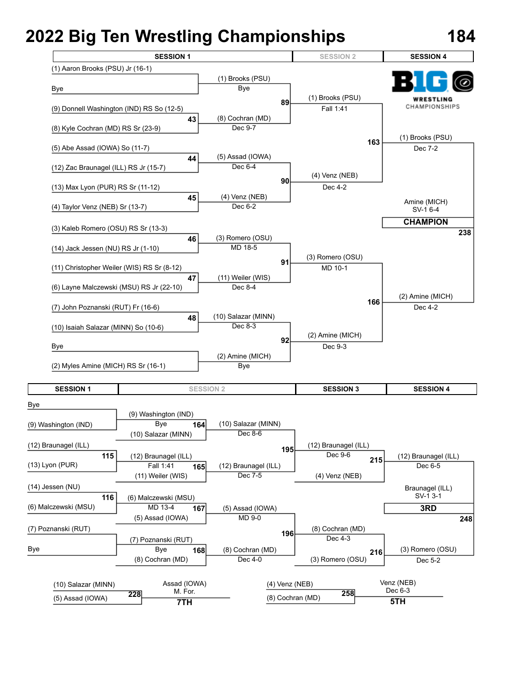

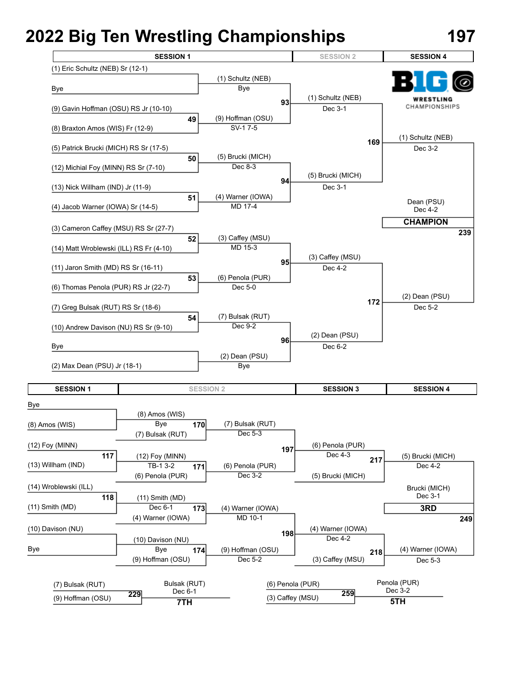**7TH**



**5TH**